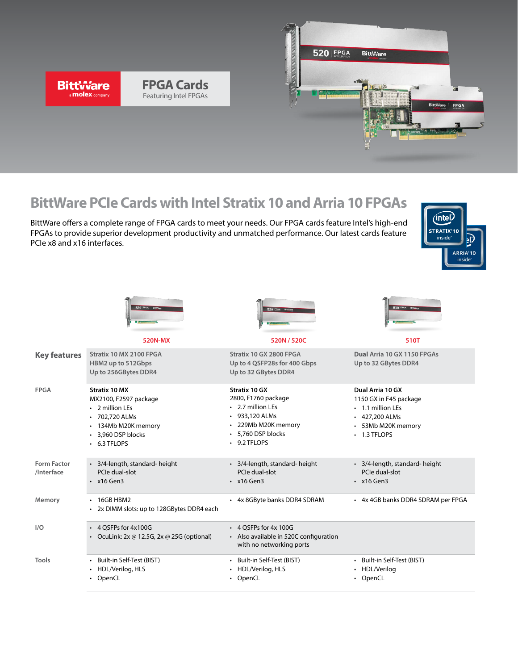





# **BittWare PCIe Cards with Intel Stratix 10 and Arria 10 FPGAs**

BittWare offers a complete range of FPGA cards to meet your needs. Our FPGA cards feature Intel's high-end FPGAs to provide superior development productivity and unmatched performance. Our latest cards feature PCIe x8 and x16 interfaces.



|                           | 520 FPGA BREVIEW                                                                                                                                            | <b>520 FPGA</b>                                                                                                                                               | 510 FPGA                                                                                                                            |  |  |  |
|---------------------------|-------------------------------------------------------------------------------------------------------------------------------------------------------------|---------------------------------------------------------------------------------------------------------------------------------------------------------------|-------------------------------------------------------------------------------------------------------------------------------------|--|--|--|
|                           | 520N-MX                                                                                                                                                     | 520N / 520C                                                                                                                                                   | 510T                                                                                                                                |  |  |  |
| <b>Key features</b>       | Stratix 10 MX 2100 FPGA<br>HBM2 up to 512Gbps<br>Up to 256GBytes DDR4                                                                                       | Stratix 10 GX 2800 FPGA<br>Up to 4 QSFP28s for 400 Gbps<br>Up to 32 GBytes DDR4                                                                               | Dual Arria 10 GX 1150 FPGAs<br>Up to 32 GBytes DDR4                                                                                 |  |  |  |
| <b>FPGA</b>               | <b>Stratix 10 MX</b><br>MX2100, F2597 package<br>$\cdot$ 2 million LEs<br>• 702,720 ALMs<br>• 134Mb M20K memory<br>+ 3,960 DSP blocks<br>$\cdot$ 6.3 TFLOPS | Stratix 10 GX<br>2800, F1760 package<br>$\cdot$ 2.7 million LEs<br>933,120 ALMs<br>$\bullet$<br>229Mb M20K memory<br>• 5,760 DSP blocks<br>$\cdot$ 9.2 TFLOPS | Dual Arria 10 GX<br>1150 GX in F45 package<br>$\cdot$ 1.1 million LEs<br>+ 427,200 ALMs<br>• 53Mb M20K memory<br>$\cdot$ 1.3 TFLOPS |  |  |  |
| Form Factor<br>/Interface | • 3/4-length, standard- height<br>PCIe dual-slot<br>$\cdot$ x16 Gen3                                                                                        | • 3/4-length, standard- height<br>PCIe dual-slot<br>$\cdot$ x16 Gen3                                                                                          | • 3/4-length, standard- height<br>PCIe dual-slot<br>$\cdot$ x16 Gen3                                                                |  |  |  |
| Memory                    | 16GB HBM2<br>• 2x DIMM slots: up to 128GBytes DDR4 each                                                                                                     | • 4x 8GByte banks DDR4 SDRAM                                                                                                                                  | • 4x 4GB banks DDR4 SDRAM per FPGA                                                                                                  |  |  |  |
| I/O                       | $\cdot$ 4 OSFPs for 4x100G<br>• OcuLink: $2x \oslash 12.5G$ , $2x \oslash 25G$ (optional)                                                                   | $\cdot$ 4 OSFPs for 4x 100G<br>• Also available in 520C configuration<br>with no networking ports                                                             |                                                                                                                                     |  |  |  |
| Tools                     | Built-in Self-Test (BIST)<br>HDL/Verilog, HLS<br>$\bullet$<br>• OpenCL                                                                                      | Built-in Self-Test (BIST)<br>HDL/Verilog, HLS<br>$\bullet$<br>OpenCL<br>$\bullet$                                                                             | • Built-in Self-Test (BIST)<br>• HDL/Verilog<br>• OpenCL                                                                            |  |  |  |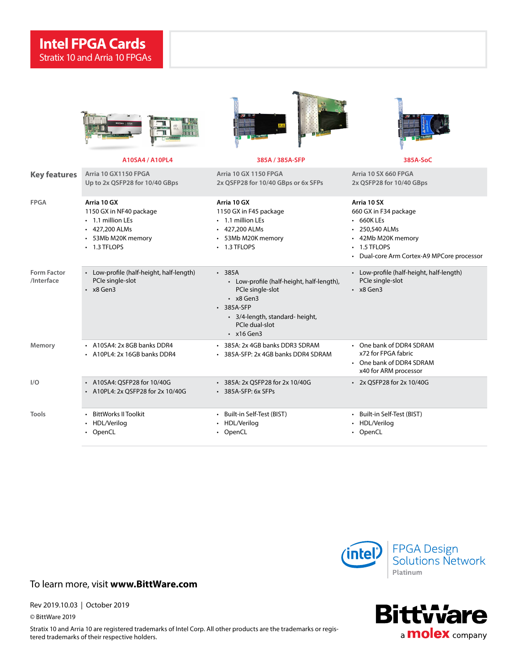|                                  | A10SA4 / A10PL4                                                                                                                 | 385A / 385A-SFP                                                                                                                                                                         | 385A-SoC                                                                                                                                                                   |
|----------------------------------|---------------------------------------------------------------------------------------------------------------------------------|-----------------------------------------------------------------------------------------------------------------------------------------------------------------------------------------|----------------------------------------------------------------------------------------------------------------------------------------------------------------------------|
| <b>Key features</b>              | Arria 10 GX1150 FPGA<br>Up to 2x QSFP28 for 10/40 GBps                                                                          | <b>Arria 10 GX 1150 FPGA</b><br>2x QSFP28 for 10/40 GBps or 6x SFPs                                                                                                                     | Arria 10 SX 660 FPGA<br>2x QSFP28 for 10/40 GBps                                                                                                                           |
| <b>FPGA</b>                      | Arria 10 GX<br>1150 GX in NF40 package<br>• 1.1 million LEs<br>$\cdot$ 427,200 ALMs<br>• 53Mb M20K memory<br>$\cdot$ 1.3 TFLOPS | Arria 10 GX<br>1150 GX in F45 package<br>• 1.1 million LEs<br>$\cdot$ 427,200 ALMs<br>• 53Mb M20K memory<br>$\cdot$ 1.3 TFLOPS                                                          | Arria 10 SX<br>660 GX in F34 package<br>$\cdot$ 660K LEs<br>$\cdot$ 250.540 ALMs<br>• 42Mb M20K memory<br>$\cdot$ 1.5 TFLOPS<br>• Dual-core Arm Cortex-A9 MPCore processor |
| <b>Form Factor</b><br>/Interface | • Low-profile (half-height, half-length)<br>PCIe single-slot<br>$\cdot$ x8 Gen3                                                 | $\cdot$ 385A<br>• Low-profile (half-height, half-length),<br>PCIe single-slot<br>$\cdot$ x8 Gen3<br>• 385A-SFP<br>• 3/4-length, standard- height,<br>PCIe dual-slot<br>$\cdot$ x16 Gen3 | • Low-profile (half-height, half-length)<br>PCIe single-slot<br>$\cdot$ x8 Gen3                                                                                            |
| Memory                           | • A10SA4: 2x 8GB banks DDR4<br>• A10PL4: 2x 16GB banks DDR4                                                                     | • 385A: 2x 4GB banks DDR3 SDRAM<br>• 385A-SFP: 2x 4GB banks DDR4 SDRAM                                                                                                                  | • One bank of DDR4 SDRAM<br>x72 for FPGA fabric<br>• One bank of DDR4 SDRAM<br>x40 for ARM processor                                                                       |
| I/O                              | • A10SA4: QSFP28 for 10/40G<br>• A10PL4: 2x OSFP28 for 2x 10/40G                                                                | - 385A: 2x QSFP28 for 2x 10/40G<br>$-385A-$ SFP: 6x SFPs                                                                                                                                | • 2x QSFP28 for 2x 10/40G                                                                                                                                                  |
| <b>Tools</b>                     | <b>BittWorks II Toolkit</b><br>• HDL/Verilog<br>• OpenCL                                                                        | · Built-in Self-Test (BIST)<br>• HDL/Verilog<br>• OpenCL                                                                                                                                | · Built-in Self-Test (BIST)<br>• HDL/Verilog<br>• OpenCL                                                                                                                   |





### To learn more, visit **www.BittWare.com**

#### Rev 2019.10.03 | October 2019

© BittWare 2019

Stratix 10 and Arria 10 are registered trademarks of Intel Corp. All other products are the trademarks or registered trademarks of their respective holders.

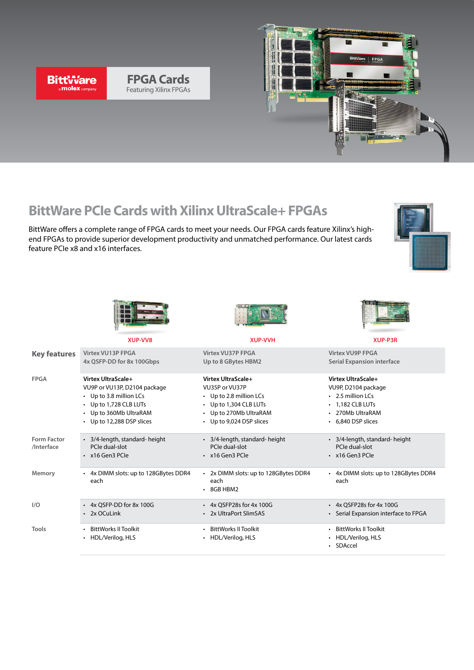

**FPGA Cards** Featuring Xilinx FPGAs



# **BittWare PCIe Cards with Xilinx UltraScale+ FPGAs**

BittWare offers a complete range of FPGA cards to meet your needs. Our FPGA cards feature Xilinx's highend FPGAs to provide superior development productivity and unmatched performance. Our latest cards feature PCIe x8 and x16 interfaces.



|                           | XUP-VV8                                                                                                                                                        | <b>XUP-VVH</b>                                                                                                                                  | XUP-P3R                                                                                                                            |  |  |
|---------------------------|----------------------------------------------------------------------------------------------------------------------------------------------------------------|-------------------------------------------------------------------------------------------------------------------------------------------------|------------------------------------------------------------------------------------------------------------------------------------|--|--|
| <b>Key features</b>       | <b>Virtex VU13P FPGA</b><br>4x QSFP-DD for 8x 100Gbps                                                                                                          | <b>Virtex VU37P FPGA</b><br>Up to 8 GBytes HBM2                                                                                                 | <b>Virtex VU9P FPGA</b><br><b>Serial Expansion interface</b>                                                                       |  |  |
| <b>FPGA</b>               | Virtex UltraScale+<br>VU9P or VU13P, D2104 package<br>• Up to 3.8 million LCs<br>• Up to 1,728 CLB LUTs<br>• Up to 360Mb UltraRAM<br>• Up to 12,288 DSP slices | Virtex UltraScale+<br>VU35P or VU37P<br>• Up to 2.8 million LCs<br>• Up to 1,304 CLB LUTs<br>• Up to 270Mb UltraRAM<br>• Up to 9,024 DSP slices | Virtex UltraScale+<br>VU9P, D2104 package<br>• 2.5 million LCs<br>$\cdot$ 1,182 CLB LUTs<br>• 270Mb UltraRAM<br>• 6.840 DSP slices |  |  |
| Form Factor<br>/Interface | • 3/4-length, standard- height<br>PCIe dual-slot<br>$\cdot$ x16 Gen3 PCIe                                                                                      | • 3/4-length, standard- height<br>PCIe dual-slot<br>$\cdot$ x16 Gen3 PCIe                                                                       | • 3/4-length, standard- height<br>PCIe dual-slot<br>$\cdot$ x16 Gen3 PCIe                                                          |  |  |
| Memory                    | • 4x DIMM slots: up to 128GBytes DDR4<br>each                                                                                                                  | • 2x DIMM slots: up to 128GBytes DDR4<br>each<br>$\cdot$ 8GB HBM2                                                                               | • 4x DIMM slots: up to 128GBytes DDR4<br>each                                                                                      |  |  |
| I/O                       | + 4x OSFP-DD for 8x 100G<br>$\cdot$ 2x OCuLink                                                                                                                 | $\cdot$ 4x OSFP28s for 4x 100G<br>• 2x UltraPort SlimSAS                                                                                        | $\cdot$ 4x OSFP28s for 4x 100G<br>• Serial Expansion interface to FPGA                                                             |  |  |
| Tools                     | <b>BittWorks II Toolkit</b><br>• HDL/Verilog, HLS                                                                                                              | <b>BittWorks II Toolkit</b><br>• HDL/Verilog, HLS                                                                                               | <b>BittWorks II Toolkit</b><br>• HDL/Verilog, HLS<br>· SDAccel                                                                     |  |  |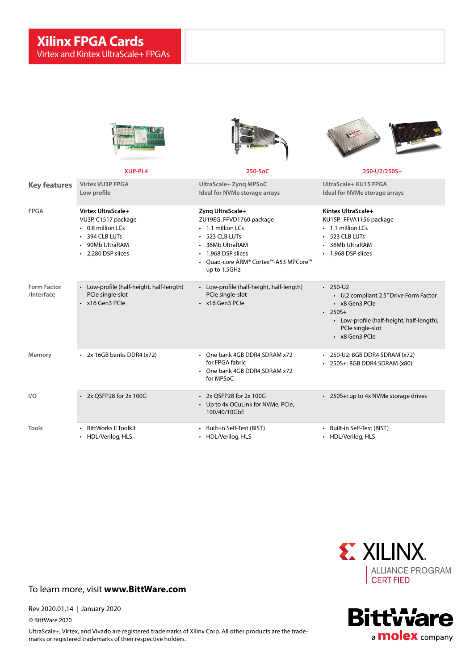|                           | <b>XUP-PL4</b>                                                                                                                                | 250-SoC                                                                                                                                                                                    | 250-U2/250S+                                                                                                                                                                         |  |  |  |
|---------------------------|-----------------------------------------------------------------------------------------------------------------------------------------------|--------------------------------------------------------------------------------------------------------------------------------------------------------------------------------------------|--------------------------------------------------------------------------------------------------------------------------------------------------------------------------------------|--|--|--|
| <b>Key features</b>       | <b>Virtex VU3P FPGA</b><br>Low profile                                                                                                        | UltraScale+ Zyng MPSoC<br>Ideal for NVMe storage arrays                                                                                                                                    | UltraScale+ KU15 FPGA<br>Ideal for NVMe storage arrays                                                                                                                               |  |  |  |
| <b>FPGA</b>               | Virtex UltraScale+<br>VU3P, C1517 package<br>• 0.8 million LCs<br>394 CLB LUTs<br>$\ddot{\phantom{a}}$<br>90Mb UltraRAM<br>• 2,280 DSP slices | Zyng UltraScale+<br>ZU19EG, FFVD1760 package<br>• 1.1 million LCs<br>$\cdot$ 523 CLB LUTs<br>• 36Mb UltraRAM<br>• 1.968 DSP slices<br>• Ouad-core ARM® Cortex™-A53 MPCore™<br>up to 1.5GHz | Kintex UltraScale+<br>KU15P, FFVA1156 package<br>• 1.1 million LCs<br>$\cdot$ 523 CLB LUTs<br>36Mb UltraRAM<br>• 1.968 DSP slices                                                    |  |  |  |
| Form Factor<br>/Interface | • Low-profile (half-height, half-length)<br>PCle single-slot<br>$\cdot$ x16 Gen3 PCIe                                                         | • Low-profile (half-height, half-length)<br>PCIe single-slot<br>$\cdot$ x16 Gen3 PCIe                                                                                                      | $\cdot$ 250-U2<br>• U.2 compliant 2.5" Drive Form Factor<br>$\cdot$ x8 Gen3 PCIe<br>$\cdot$ 250S+<br>• Low-profile (half-height, half-length),<br>PCIe single-slot<br>· x8 Gen3 PCIe |  |  |  |
| Memory                    | $\cdot$ 2x 16GB banks DDR4 (x72)                                                                                                              | • One bank 4GB DDR4 SDRAM x72<br>for FPGA fabric<br>• One bank 4GB DDR4 SDRAM x72<br>for MPSoC                                                                                             | • 250-U2: 8GB DDR4 SDRAM (x72)<br>• 250S+: 8GB DDR4 SDRAM (x80)                                                                                                                      |  |  |  |
| I/O                       | • 2x QSFP28 for 2x 100G                                                                                                                       | • 2x OSFP28 for 2x 100G<br>• Up to 4x OCuLink for NVMe, PCIe,<br>100/40/10GbE                                                                                                              | • 250S+: up to 4x NVMe storage drives                                                                                                                                                |  |  |  |
| Tools                     | <b>BittWorks II Toolkit</b><br>• HDL/Verilog, HLS                                                                                             | • Built-in Self-Test (BIST)<br>• HDL/Verilog, HLS                                                                                                                                          | · Built-in Self-Test (BIST)<br>• HDL/Verilog, HLS                                                                                                                                    |  |  |  |



## To learn more, visit **www.BittWare.com**

Rev 2020.01.14 | January 2020 © BittWare 2020

UltraScale+, Virtex, and Vivado are registered trademarks of Xilinx Corp. All other products are the trademarks or registered trademarks of their respective holders.